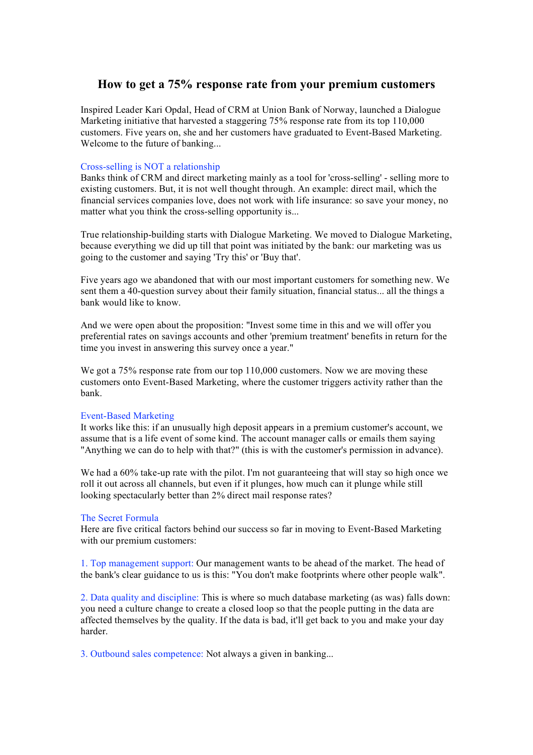## **How to get a 75% response rate from your premium customers**

Inspired Leader Kari Opdal, Head of CRM at Union Bank of Norway, launched a Dialogue Marketing initiative that harvested a staggering 75% response rate from its top 110,000 customers. Five years on, she and her customers have graduated to Event-Based Marketing. Welcome to the future of banking...

## Cross-selling is NOT a relationship

Banks think of CRM and direct marketing mainly as a tool for 'cross-selling' - selling more to existing customers. But, it is not well thought through. An example: direct mail, which the financial services companies love, does not work with life insurance: so save your money, no matter what you think the cross-selling opportunity is...

True relationship-building starts with Dialogue Marketing. We moved to Dialogue Marketing, because everything we did up till that point was initiated by the bank: our marketing was us going to the customer and saying 'Try this' or 'Buy that'.

Five years ago we abandoned that with our most important customers for something new. We sent them a 40-question survey about their family situation, financial status... all the things a bank would like to know.

And we were open about the proposition: "Invest some time in this and we will offer you preferential rates on savings accounts and other 'premium treatment' benefits in return for the time you invest in answering this survey once a year."

We got a 75% response rate from our top 110,000 customers. Now we are moving these customers onto Event-Based Marketing, where the customer triggers activity rather than the bank.

## Event-Based Marketing

It works like this: if an unusually high deposit appears in a premium customer's account, we assume that is a life event of some kind. The account manager calls or emails them saying "Anything we can do to help with that?" (this is with the customer's permission in advance).

We had a 60% take-up rate with the pilot. I'm not guaranteeing that will stay so high once we roll it out across all channels, but even if it plunges, how much can it plunge while still looking spectacularly better than 2% direct mail response rates?

## The Secret Formula

Here are five critical factors behind our success so far in moving to Event-Based Marketing with our premium customers:

1. Top management support: Our management wants to be ahead of the market. The head of the bank's clear guidance to us is this: "You don't make footprints where other people walk".

2. Data quality and discipline: This is where so much database marketing (as was) falls down: you need a culture change to create a closed loop so that the people putting in the data are affected themselves by the quality. If the data is bad, it'll get back to you and make your day harder.

3. Outbound sales competence: Not always a given in banking...